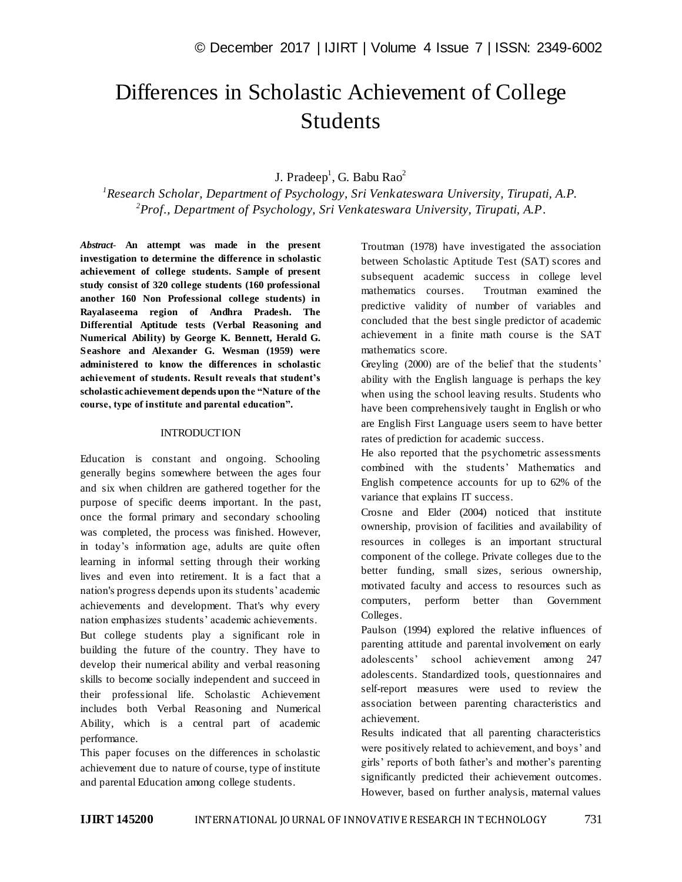# Differences in Scholastic Achievement of College Students

# J. Pradeep<sup>1</sup>, G. Babu Rao<sup>2</sup>

*1 Research Scholar, Department of Psychology, Sri Venkateswara University, Tirupati, A.P. 2 Prof., Department of Psychology, Sri Venkateswara University, Tirupati, A.P*.

*Abstract*- **An attempt was made in the present investigation to determine the difference in scholastic achievement of college students. Sample of present study consist of 320 college students (160 professional another 160 Non Professional college students) in Rayalaseema region of Andhra Pradesh. The Differential Aptitude tests (Verbal Reasoning and Numerical Ability) by George K. Bennett, Herald G. Seashore and Alexander G. Wesman (1959) were administered to know the differences in scholastic achievement of students. Result reveals that student's scholastic achievement depends upon the "Nature of the course, type of institute and parental education".**

#### **INTRODUCTION**

Education is constant and ongoing. Schooling generally begins somewhere between the ages four and six when children are gathered together for the purpose of specific deems important. In the past, once the formal primary and secondary schooling was completed, the process was finished. However, in today's information age, adults are quite often learning in informal setting through their working lives and even into retirement. It is a fact that a nation's progress depends upon its students' academic achievements and development. That's why every nation emphasizes students' academic achievements. But college students play a significant role in building the future of the country. They have to develop their numerical ability and verbal reasoning skills to become socially independent and succeed in their professional life. Scholastic Achievement includes both Verbal Reasoning and Numerical Ability, which is a central part of academic performance.

This paper focuses on the differences in scholastic achievement due to nature of course, type of institute and parental Education among college students.

Troutman (1978) have investigated the association between Scholastic Aptitude Test (SAT) scores and subsequent academic success in college level mathematics courses. Troutman examined the predictive validity of number of variables and concluded that the best single predictor of academic achievement in a finite math course is the SAT mathematics score.

Greyling (2000) are of the belief that the students' ability with the English language is perhaps the key when using the school leaving results. Students who have been comprehensively taught in English or who are English First Language users seem to have better rates of prediction for academic success.

He also reported that the psychometric assessments combined with the students' Mathematics and English competence accounts for up to 62% of the variance that explains IT success.

Crosne and Elder (2004) noticed that institute ownership, provision of facilities and availability of resources in colleges is an important structural component of the college. Private colleges due to the better funding, small sizes, serious ownership, motivated faculty and access to resources such as computers, perform better than Government Colleges.

Paulson (1994) explored the relative influences of parenting attitude and parental involvement on early adolescents' school achievement among 247 adolescents. Standardized tools, questionnaires and self-report measures were used to review the association between parenting characteristics and achievement.

Results indicated that all parenting characteristics were positively related to achievement, and boys' and girls' reports of both father's and mother's parenting significantly predicted their achievement outcomes. However, based on further analysis, maternal values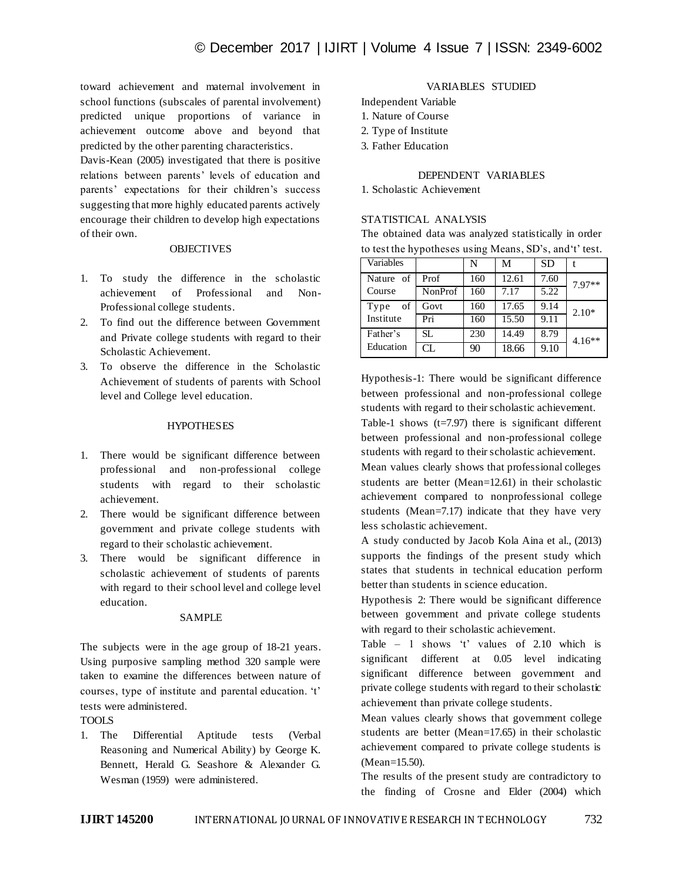toward achievement and maternal involvement in school functions (subscales of parental involvement) predicted unique proportions of variance in achievement outcome above and beyond that predicted by the other parenting characteristics.

Davis-Kean (2005) investigated that there is positive relations between parents' levels of education and parents' expectations for their children's success suggesting that more highly educated parents actively encourage their children to develop high expectations of their own.

## **OBJECTIVES**

- 1. To study the difference in the scholastic achievement of Professional and Non-Professional college students.
- 2. To find out the difference between Government and Private college students with regard to their Scholastic Achievement.
- 3. To observe the difference in the Scholastic Achievement of students of parents with School level and College level education.

#### **HYPOTHESES**

- 1. There would be significant difference between professional and non-professional college students with regard to their scholastic achievement.
- 2. There would be significant difference between government and private college students with regard to their scholastic achievement.
- 3. There would be significant difference in scholastic achievement of students of parents with regard to their school level and college level education.

#### SAMPLE

The subjects were in the age group of 18-21 years. Using purposive sampling method 320 sample were taken to examine the differences between nature of courses, type of institute and parental education. 't' tests were administered.

#### TOOLS

1. The Differential Aptitude tests (Verbal Reasoning and Numerical Ability) by George K. Bennett, Herald G. Seashore & Alexander G. Wesman (1959) were administered.

# VARIABLES STUDIED

Independent Variable

- 1. Nature of Course
- 2. Type of Institute
- 3. Father Education

# DEPENDENT VARIABLES

1. Scholastic Achievement

# STATISTICAL ANALYSIS

The obtained data was analyzed statistically in order to test the hypotheses using Means, SD's, and't' test.

| Variables  |         | N   | M     | <b>SD</b> |          |
|------------|---------|-----|-------|-----------|----------|
| Nature of  | Prof    | 160 | 12.61 | 7.60      | 7.97**   |
| Course     | NonProf | 160 | 7.17  | 5.22      |          |
| of<br>Type | Govt    | 160 | 17.65 | 9.14      | $2.10*$  |
| Institute  | Pri     | 160 | 15.50 | 9.11      |          |
| Father's   | SL.     | 230 | 14.49 | 8.79      | $4.16**$ |
| Education  | CL.     | 90  | 18.66 | 9.10      |          |

Hypothesis-1: There would be significant difference between professional and non-professional college students with regard to their scholastic achievement.

Table-1 shows  $(t=7.97)$  there is significant different between professional and non-professional college students with regard to their scholastic achievement.

Mean values clearly shows that professional colleges students are better (Mean=12.61) in their scholastic achievement compared to nonprofessional college students (Mean=7.17) indicate that they have very less scholastic achievement.

A study conducted by Jacob Kola Aina et al., (2013) supports the findings of the present study which states that students in technical education perform better than students in science education.

Hypothesis 2: There would be significant difference between government and private college students with regard to their scholastic achievement.

Table – 1 shows 't' values of 2.10 which is significant different at 0.05 level indicating significant difference between government and private college students with regard to their scholastic achievement than private college students.

Mean values clearly shows that government college students are better (Mean=17.65) in their scholastic achievement compared to private college students is (Mean=15.50).

The results of the present study are contradictory to the finding of Crosne and Elder (2004) which